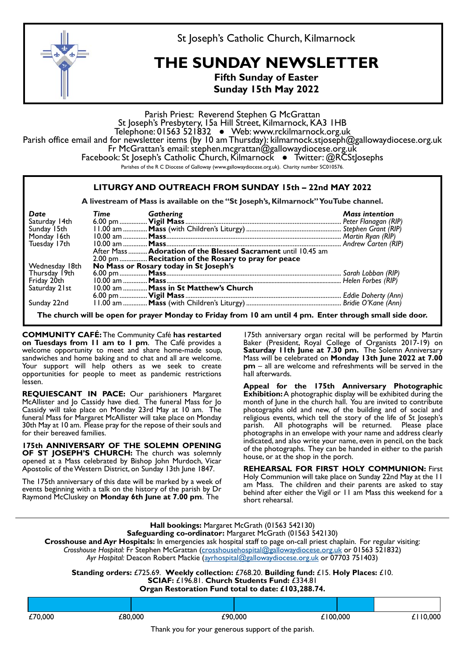

St Joseph's Catholic Church, Kilmarnock

## **THE SUNDAY NEWSLETTER**

**Fifth Sunday of Easter Sunday 15th May 2022** 

Parish Priest: Reverend Stephen G McGrattan<br>St Joseph's Presbytery, 15a Hill Street, Kilmarnock, KA3 1HB<br>Telephone: 01563 521832 • Web: www.rckilmarnock.org.uk Telephone: 01563 521832 ● Web: www.rckilmarnock.org.uk Parish office email and for newsletter items (by 10 am Thursday): kilmarnock.stjoseph@gallowaydiocese.org.uk Fr McGrattan's email: stephen.mcgrattan@gallowaydiocese.org.uk Facebook: St Joseph's Catholic Church, Kilmarnock ● Twitter: @RCStJosephs Parishes of the R C Diocese of Galloway (www.gallowaydiocese.org.uk). Charity number SC010576.

## **LITURGY AND OUTREACH FROM SUNDAY 15th – 22nd MAY 2022**

**A livestream of Mass is available on the "St Joseph's, Kilmarnock" YouTube channel.** 

| Date<br>Saturday 14th | Time Gathering |                                                               | <b>Mass intention</b> |
|-----------------------|----------------|---------------------------------------------------------------|-----------------------|
| Sunday 15th           |                |                                                               |                       |
| Monday 16th           |                |                                                               |                       |
| Tuesday 17th          |                |                                                               |                       |
|                       |                | After Mass  Adoration of the Blessed Sacrament until 10.45 am |                       |
|                       |                | 2.00 pm  Recitation of the Rosary to pray for peace           |                       |
| Wednesday 18th        |                | No Mass or Rosary today in St Joseph's                        |                       |
| Thursday 19th         |                |                                                               |                       |
| Friday 20th           |                |                                                               |                       |
| Saturday 21st         |                | 10.00 am  Mass in St Matthew's Church                         |                       |
|                       |                |                                                               |                       |
| Sunday 22nd           |                |                                                               |                       |

**The church will be open for prayer Monday to Friday from 10 am until 4 pm. Enter through small side door.** 

**COMMUNITY CAFÉ:** The Community Café **has restarted on Tuesdays from 11 am to 1 pm**. The Café provides a welcome opportunity to meet and share home-made soup, sandwiches and home baking and to chat and all are welcome. Your support will help others as we seek to create opportunities for people to meet as pandemic restrictions lessen.

**REQUIESCANT IN PACE:** Our parishioners Margaret McAllister and Jo Cassidy have died. The funeral Mass for Jo Cassidy will take place on Monday 23rd May at 10 am. The funeral Mass for Margaret McAllister will take place on Monday 30th May at 10 am. Please pray for the repose of their souls and for their bereaved families.

**175th ANNIVERSARY OF THE SOLEMN OPENING OF ST JOSEPH'S CHURCH:** The church was solemnly opened at a Mass celebrated by Bishop John Murdoch, Vicar Apostolic of the Western District, on Sunday 13th June 1847.

The 175th anniversary of this date will be marked by a week of events beginning with a talk on the history of the parish by Dr Raymond McCluskey on **Monday 6th June at 7.00 pm**. The

175th anniversary organ recital will be performed by Martin Baker (President, Royal College of Organists 2017-19) on **Saturday 11th June at 7.30 pm.** The Solemn Anniversary Mass will be celebrated on **Monday 13th June 2022 at 7.00 pm** – all are welcome and refreshments will be served in the hall afterwards.

**Appeal for the 175th Anniversary Photographic Exhibition:** A photographic display will be exhibited during the month of June in the church hall. You are invited to contribute photographs old and new, of the building and of social and religious events, which tell the story of the life of St Joseph's parish. All photographs will be returned. Please place photographs in an envelope with your name and address clearly indicated, and also write your name, even in pencil, on the back of the photographs. They can be handed in either to the parish house, or at the shop in the porch.

**REHEARSAL FOR FIRST HOLY COMMUNION:** First Holy Communion will take place on Sunday 22nd May at the 11 am Mass. The children and their parents are asked to stay behind after either the Vigil or 11 am Mass this weekend for a short rehearsal.

| Hall bookings: Margaret McGrath (01563 542130)<br>Safeguarding co-ordinator: Margaret McGrath (01563 542130)<br>Crosshouse and Ayr Hospitals: In emergencies ask hospital staff to page on-call priest chaplain. For regular visiting:<br>Crosshouse Hospital: Fr Stephen McGrattan (crosshousehospital@gallowaydiocese.org.uk or 01563 521832)<br>Ayr Hospital: Deacon Robert Mackie (ayrhospital@gallowaydiocese.org.uk or 07703 751403)<br>Standing orders: £725.69. Weekly collection: £768.20. Building fund: £15. Holy Places: £10.<br>SCIAF: £196.81. Church Students Fund: £334.81<br>Organ Restoration Fund total to date: £103,288.74. |  |  |  |  |
|--------------------------------------------------------------------------------------------------------------------------------------------------------------------------------------------------------------------------------------------------------------------------------------------------------------------------------------------------------------------------------------------------------------------------------------------------------------------------------------------------------------------------------------------------------------------------------------------------------------------------------------------------|--|--|--|--|
|                                                                                                                                                                                                                                                                                                                                                                                                                                                                                                                                                                                                                                                  |  |  |  |  |

| £70,000                                            | £80,000 | £90,000 | 100.000 | £110,000 |  |  |
|----------------------------------------------------|---------|---------|---------|----------|--|--|
| Thank you for your generous support of the parish. |         |         |         |          |  |  |